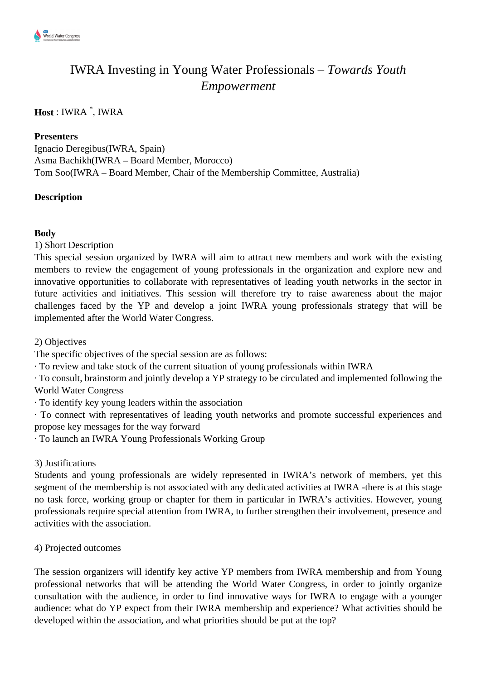

# IWRA Investing in Young Water Professionals – *Towards Youth Empowerment*

# **Host** : IWRA \* , IWRA

### **Presenters**

Ignacio Deregibus(IWRA, Spain) Asma Bachikh(IWRA – Board Member, Morocco) Tom Soo(IWRA – Board Member, Chair of the Membership Committee, Australia)

## **Description**

### **Body**

1) Short Description

This special session organized by IWRA will aim to attract new members and work with the existing members to review the engagement of young professionals in the organization and explore new and innovative opportunities to collaborate with representatives of leading youth networks in the sector in future activities and initiatives. This session will therefore try to raise awareness about the major challenges faced by the YP and develop a joint IWRA young professionals strategy that will be implemented after the World Water Congress.

2) Objectives

The specific objectives of the special session are as follows:

· To review and take stock of the current situation of young professionals within IWRA

· To consult, brainstorm and jointly develop a YP strategy to be circulated and implemented following the World Water Congress

· To identify key young leaders within the association

· To connect with representatives of leading youth networks and promote successful experiences and propose key messages for the way forward

· To launch an IWRA Young Professionals Working Group

3) Justifications

Students and young professionals are widely represented in IWRA's network of members, yet this segment of the membership is not associated with any dedicated activities at IWRA -there is at this stage no task force, working group or chapter for them in particular in IWRA's activities. However, young professionals require special attention from IWRA, to further strengthen their involvement, presence and activities with the association.

4) Projected outcomes

The session organizers will identify key active YP members from IWRA membership and from Young professional networks that will be attending the World Water Congress, in order to jointly organize consultation with the audience, in order to find innovative ways for IWRA to engage with a younger audience: what do YP expect from their IWRA membership and experience? What activities should be developed within the association, and what priorities should be put at the top?